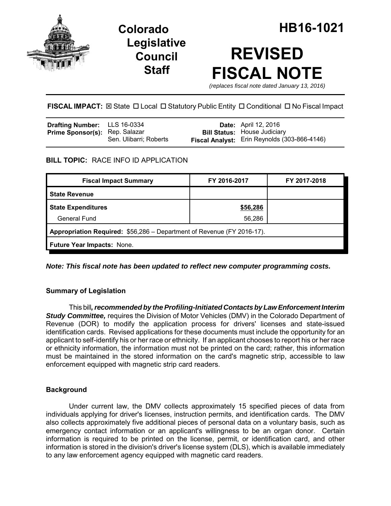

## **Legislative Council Staff**

# **REVISED FISCAL NOTE**

*(replaces fiscal note dated January 13, 2016)*

**FISCAL IMPACT:** ⊠ State □ Local □ Statutory Public Entity □ Conditional □ No Fiscal Impact

| <b>Drafting Number:</b> LLS 16-0334   |                        | <b>Date:</b> April 12, 2016                  |
|---------------------------------------|------------------------|----------------------------------------------|
| <b>Prime Sponsor(s): Rep. Salazar</b> |                        | <b>Bill Status: House Judiciary</b>          |
|                                       | Sen. Ulibarri; Roberts | Fiscal Analyst: Erin Reynolds (303-866-4146) |

## **BILL TOPIC:** RACE INFO ID APPLICATION

| <b>Fiscal Impact Summary</b>                                           | FY 2016-2017 | FY 2017-2018 |  |  |  |
|------------------------------------------------------------------------|--------------|--------------|--|--|--|
| <b>State Revenue</b>                                                   |              |              |  |  |  |
| <b>State Expenditures</b>                                              | \$56,286     |              |  |  |  |
| <b>General Fund</b>                                                    | 56,286       |              |  |  |  |
| Appropriation Required: \$56,286 - Department of Revenue (FY 2016-17). |              |              |  |  |  |
| <b>Future Year Impacts: None.</b>                                      |              |              |  |  |  |

*Note: This fiscal note has been updated to reflect new computer programming costs.*

## **Summary of Legislation**

This bill*, recommended by the Profiling-Initiated Contacts by Law Enforcement Interim Study Committee,* requires the Division of Motor Vehicles (DMV) in the Colorado Department of Revenue (DOR) to modify the application process for drivers' licenses and state-issued identification cards. Revised applications for these documents must include the opportunity for an applicant to self-identify his or her race or ethnicity. If an applicant chooses to report his or her race or ethnicity information, the information must not be printed on the card; rather, this information must be maintained in the stored information on the card's magnetic strip, accessible to law enforcement equipped with magnetic strip card readers.

## **Background**

Under current law, the DMV collects approximately 15 specified pieces of data from individuals applying for driver's licenses, instruction permits, and identification cards. The DMV also collects approximately five additional pieces of personal data on a voluntary basis, such as emergency contact information or an applicant's willingness to be an organ donor. Certain information is required to be printed on the license, permit, or identification card, and other information is stored in the division's driver's license system (DLS), which is available immediately to any law enforcement agency equipped with magnetic card readers.